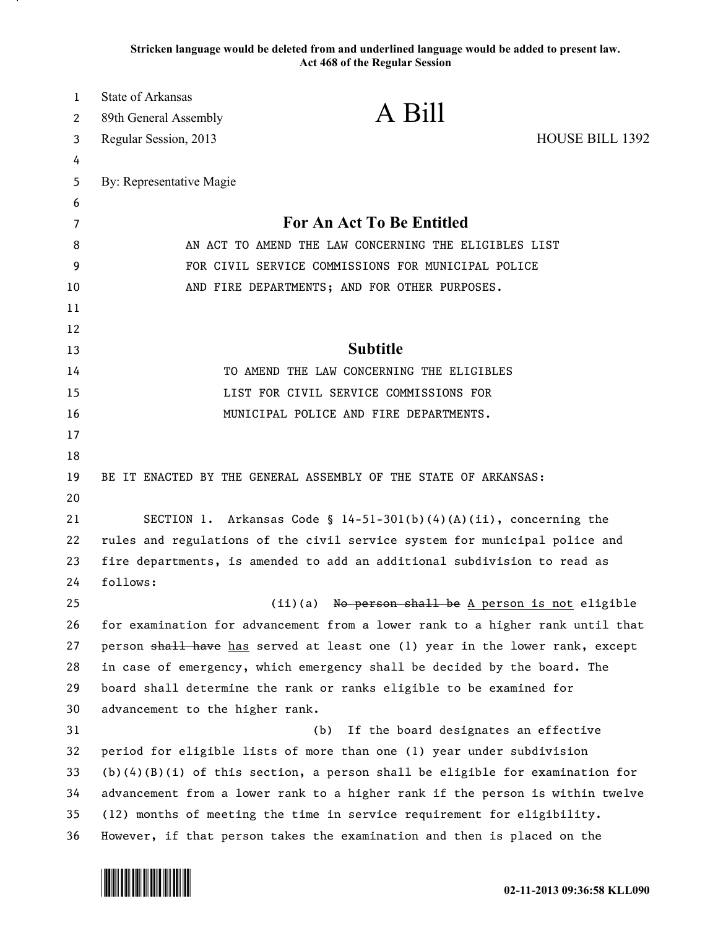**Stricken language would be deleted from and underlined language would be added to present law. Act 468 of the Regular Session**

| $\mathbf{1}$ | State of Arkansas                                                          |                                                                                |                 |
|--------------|----------------------------------------------------------------------------|--------------------------------------------------------------------------------|-----------------|
| 2            | 89th General Assembly                                                      | A Bill                                                                         |                 |
| 3            | Regular Session, 2013                                                      |                                                                                | HOUSE BILL 1392 |
| 4            |                                                                            |                                                                                |                 |
| 5            | By: Representative Magie                                                   |                                                                                |                 |
| 6            |                                                                            |                                                                                |                 |
| 7            | <b>For An Act To Be Entitled</b>                                           |                                                                                |                 |
| 8            | AN ACT TO AMEND THE LAW CONCERNING THE ELIGIBLES LIST                      |                                                                                |                 |
| 9            | FOR CIVIL SERVICE COMMISSIONS FOR MUNICIPAL POLICE                         |                                                                                |                 |
| 10           | AND FIRE DEPARTMENTS; AND FOR OTHER PURPOSES.                              |                                                                                |                 |
| 11           |                                                                            |                                                                                |                 |
| 12           |                                                                            |                                                                                |                 |
| 13           | <b>Subtitle</b>                                                            |                                                                                |                 |
| 14           |                                                                            | TO AMEND THE LAW CONCERNING THE ELIGIBLES                                      |                 |
| 15           |                                                                            | LIST FOR CIVIL SERVICE COMMISSIONS FOR                                         |                 |
| 16           |                                                                            | MUNICIPAL POLICE AND FIRE DEPARTMENTS.                                         |                 |
| 17           |                                                                            |                                                                                |                 |
| 18           |                                                                            |                                                                                |                 |
| 19           | BE IT ENACTED BY THE GENERAL ASSEMBLY OF THE STATE OF ARKANSAS:            |                                                                                |                 |
| 20           |                                                                            |                                                                                |                 |
| 21           |                                                                            | SECTION 1. Arkansas Code § $14-51-301(b)(4)(A)(ii)$ , concerning the           |                 |
| 22           | rules and regulations of the civil service system for municipal police and |                                                                                |                 |
| 23           | fire departments, is amended to add an additional subdivision to read as   |                                                                                |                 |
| 24           | follows:                                                                   |                                                                                |                 |
| 25           |                                                                            | (ii)(a) No person shall be A person is not eligible                            |                 |
| 26           |                                                                            | for examination for advancement from a lower rank to a higher rank until that  |                 |
| 27           |                                                                            | person shall have has served at least one (1) year in the lower rank, except   |                 |
| 28           |                                                                            | in case of emergency, which emergency shall be decided by the board. The       |                 |
| 29           |                                                                            | board shall determine the rank or ranks eligible to be examined for            |                 |
| 30           | advancement to the higher rank.                                            |                                                                                |                 |
| 31           |                                                                            | (b)<br>If the board designates an effective                                    |                 |
| 32           |                                                                            | period for eligible lists of more than one (1) year under subdivision          |                 |
| 33           |                                                                            | $(b)(4)(B)(i)$ of this section, a person shall be eligible for examination for |                 |
| 34           |                                                                            | advancement from a lower rank to a higher rank if the person is within twelve  |                 |
| 35           |                                                                            | (12) months of meeting the time in service requirement for eligibility.        |                 |
| 36           |                                                                            | However, if that person takes the examination and then is placed on the        |                 |

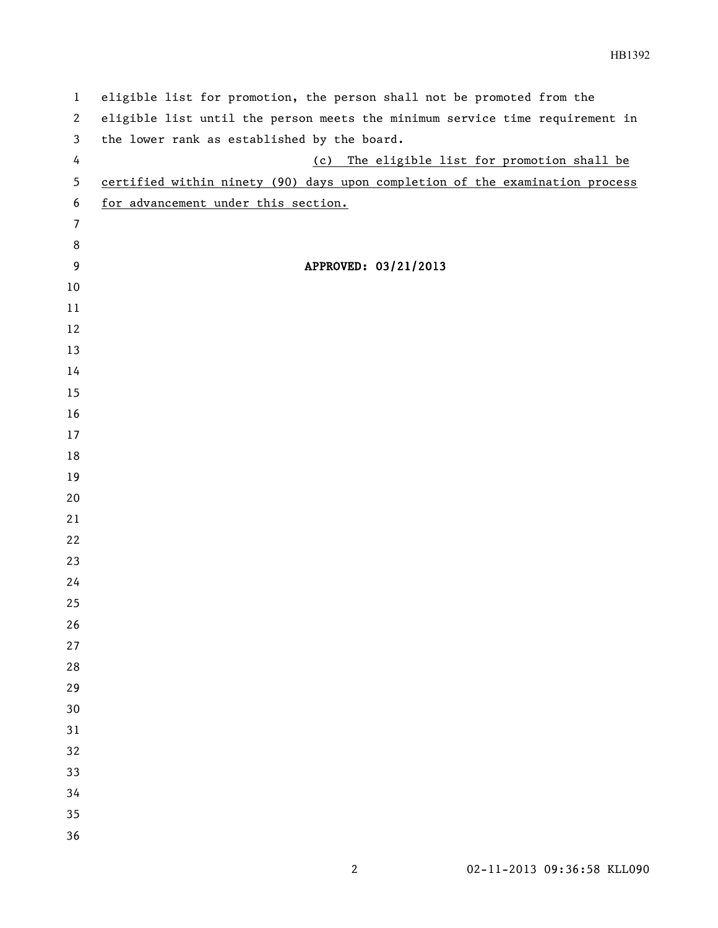| $\mathbf{1}$     | eligible list for promotion, the person shall not be promoted from the       |
|------------------|------------------------------------------------------------------------------|
| $\mathbf{2}$     | eligible list until the person meets the minimum service time requirement in |
| 3                | the lower rank as established by the board.                                  |
| 4                | The eligible list for promotion shall be<br>(c)                              |
| 5                | certified within ninety (90) days upon completion of the examination process |
| 6                | for advancement under this section.                                          |
| $\overline{7}$   |                                                                              |
| 8                |                                                                              |
| $\boldsymbol{9}$ | APPROVED: 03/21/2013                                                         |
| $10\,$           |                                                                              |
| 11               |                                                                              |
| 12               |                                                                              |
| 13               |                                                                              |
| 14               |                                                                              |
| 15               |                                                                              |
| 16               |                                                                              |
| 17               |                                                                              |
| 18               |                                                                              |
| 19               |                                                                              |
| 20               |                                                                              |
| 21               |                                                                              |
| 22               |                                                                              |
| 23<br>24         |                                                                              |
| 25               |                                                                              |
| 26               |                                                                              |
| 27               |                                                                              |
| 28               |                                                                              |
| 29               |                                                                              |
| 30               |                                                                              |
| 31               |                                                                              |
| 32               |                                                                              |
| 33               |                                                                              |
| 34               |                                                                              |
| 35               |                                                                              |
| 36               |                                                                              |
|                  |                                                                              |